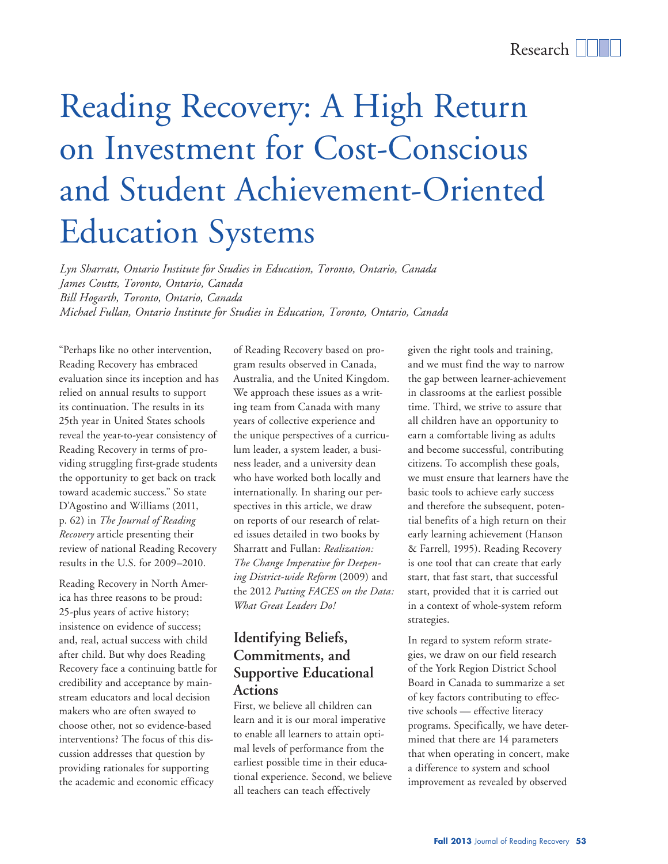# Reading Recovery: A High Return on Investment for Cost-Conscious and Student Achievement-Oriented Education Systems

*Lyn Sharratt, Ontario Institute for Studies in Education, Toronto, Ontario, Canada James Coutts, Toronto, Ontario, Canada Bill Hogarth, Toronto, Ontario, Canada Michael Fullan, Ontario Institute for Studies in Education, Toronto, Ontario, Canada*

"Perhaps like no other intervention, Reading Recovery has embraced evaluation since its inception and has relied on annual results to support its continuation. The results in its 25th year in United States schools reveal the year-to-year consistency of Reading Recovery in terms of providing struggling first-grade students the opportunity to get back on track toward academic success." So state D'Agostino and Williams (2011, p. 62) in *The Journal of Reading Recovery* article presenting their review of national Reading Recovery results in the U.S. for 2009–2010.

Reading Recovery in North America has three reasons to be proud: 25-plus years of active history; insistence on evidence of success; and, real, actual success with child after child. But why does Reading Recovery face a continuing battle for credibility and acceptance by mainstream educators and local decision makers who are often swayed to choose other, not so evidence-based interventions? The focus of this discussion addresses that question by providing rationales for supporting the academic and economic efficacy

of Reading Recovery based on program results observed in Canada, Australia, and the United Kingdom. We approach these issues as a writing team from Canada with many years of collective experience and the unique perspectives of a curriculum leader, a system leader, a business leader, and a university dean who have worked both locally and internationally. In sharing our perspectives in this article, we draw on reports of our research of related issues detailed in two books by Sharratt and Fullan: *Realization: The Change Imperative for Deepening District-wide Reform* (2009) and the 2012 *Putting FACES on the Data: What Great Leaders Do!* 

## **Identifying Beliefs, Commitments, and Supportive Educational Actions**

First, we believe all children can learn and it is our moral imperative to enable all learners to attain optimal levels of performance from the earliest possible time in their educational experience. Second, we believe all teachers can teach effectively

given the right tools and training, and we must find the way to narrow the gap between learner-achievement in classrooms at the earliest possible time. Third, we strive to assure that all children have an opportunity to earn a comfortable living as adults and become successful, contributing citizens. To accomplish these goals, we must ensure that learners have the basic tools to achieve early success and therefore the subsequent, potential benefits of a high return on their early learning achievement (Hanson & Farrell, 1995). Reading Recovery is one tool that can create that early start, that fast start, that successful start, provided that it is carried out in a context of whole-system reform strategies.

In regard to system reform strategies, we draw on our field research of the York Region District School Board in Canada to summarize a set of key factors contributing to effective schools — effective literacy programs. Specifically, we have determined that there are 14 parameters that when operating in concert, make a difference to system and school improvement as revealed by observed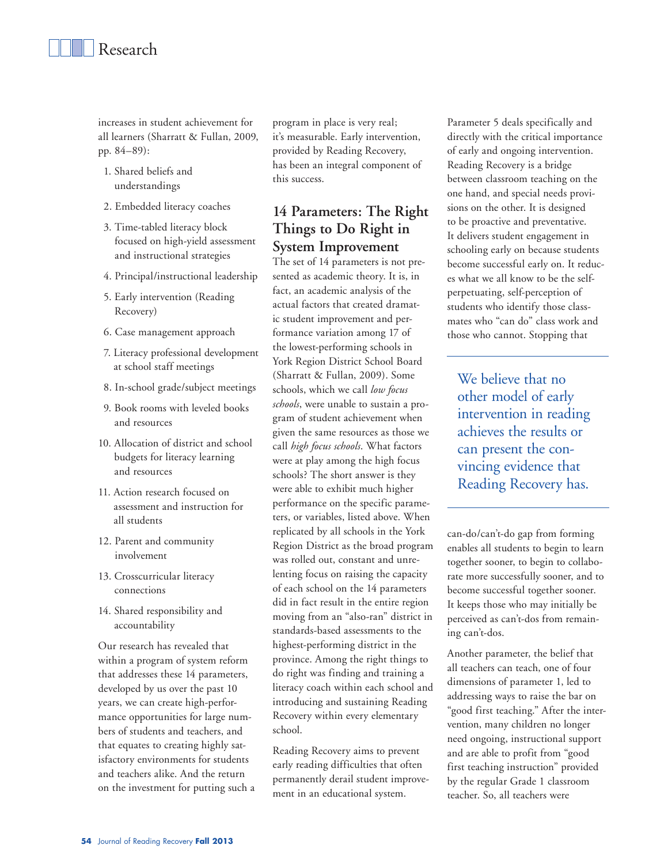increases in student achievement for all learners (Sharratt & Fullan, 2009, pp. 84–89):

- 1. Shared beliefs and understandings
- 2. Embedded literacy coaches
- 3. Time-tabled literacy block focused on high-yield assessment and instructional strategies
- 4. Principal/instructional leadership
- 5. Early intervention (Reading Recovery)
- 6. Case management approach
- 7. Literacy professional development at school staff meetings
- 8. In-school grade/subject meetings
- 9. Book rooms with leveled books and resources
- 10. Allocation of district and school budgets for literacy learning and resources
- 11. Action research focused on assessment and instruction for all students
- 12. Parent and community involvement
- 13. Crosscurricular literacy connections
- 14. Shared responsibility and accountability

Our research has revealed that within a program of system reform that addresses these 14 parameters, developed by us over the past 10 years, we can create high-performance opportunities for large numbers of students and teachers, and that equates to creating highly satisfactory environments for students and teachers alike. And the return on the investment for putting such a

program in place is very real; it's measurable. Early intervention, provided by Reading Recovery, has been an integral component of this success.

## **14 Parameters: The Right Things to Do Right in System Improvement**

The set of 14 parameters is not presented as academic theory. It is, in fact, an academic analysis of the actual factors that created dramatic student improvement and performance variation among 17 of the lowest-performing schools in York Region District School Board (Sharratt & Fullan, 2009). Some schools, which we call *low focus schools*, were unable to sustain a program of student achievement when given the same resources as those we call *high focus schools*. What factors were at play among the high focus schools? The short answer is they were able to exhibit much higher performance on the specific parameters, or variables, listed above. When replicated by all schools in the York Region District as the broad program was rolled out, constant and unrelenting focus on raising the capacity of each school on the 14 parameters did in fact result in the entire region moving from an "also-ran" district in standards-based assessments to the highest-performing district in the province. Among the right things to do right was finding and training a literacy coach within each school and introducing and sustaining Reading Recovery within every elementary school.

Reading Recovery aims to prevent early reading difficulties that often permanently derail student improvement in an educational system.

Parameter 5 deals specifically and directly with the critical importance of early and ongoing intervention. Reading Recovery is a bridge between classroom teaching on the one hand, and special needs provisions on the other. It is designed to be proactive and preventative. It delivers student engagement in schooling early on because students become successful early on. It reduces what we all know to be the selfperpetuating, self-perception of students who identify those classmates who "can do" class work and those who cannot. Stopping that

We believe that no other model of early intervention in reading achieves the results or can present the convincing evidence that Reading Recovery has.

can-do/can't-do gap from forming enables all students to begin to learn together sooner, to begin to collaborate more successfully sooner, and to become successful together sooner. It keeps those who may initially be perceived as can't-dos from remaining can't-dos.

Another parameter, the belief that all teachers can teach, one of four dimensions of parameter 1, led to addressing ways to raise the bar on "good first teaching." After the intervention, many children no longer need ongoing, instructional support and are able to profit from "good first teaching instruction" provided by the regular Grade 1 classroom teacher. So, all teachers were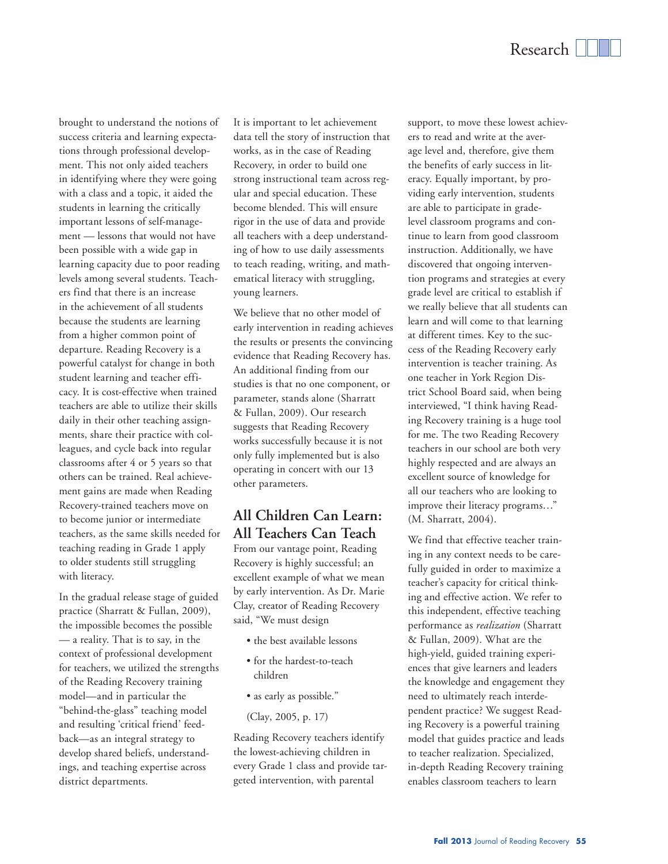brought to understand the notions of success criteria and learning expectations through professional development. This not only aided teachers in identifying where they were going with a class and a topic, it aided the students in learning the critically important lessons of self-management — lessons that would not have been possible with a wide gap in learning capacity due to poor reading levels among several students. Teachers find that there is an increase in the achievement of all students because the students are learning from a higher common point of departure. Reading Recovery is a powerful catalyst for change in both student learning and teacher efficacy. It is cost-effective when trained teachers are able to utilize their skills daily in their other teaching assignments, share their practice with colleagues, and cycle back into regular classrooms after 4 or 5 years so that others can be trained. Real achievement gains are made when Reading Recovery-trained teachers move on to become junior or intermediate teachers, as the same skills needed for teaching reading in Grade 1 apply to older students still struggling with literacy.

In the gradual release stage of guided practice (Sharratt & Fullan, 2009), the impossible becomes the possible — a reality. That is to say, in the context of professional development for teachers, we utilized the strengths of the Reading Recovery training model—and in particular the "behind-the-glass" teaching model and resulting 'critical friend' feedback—as an integral strategy to develop shared beliefs, understandings, and teaching expertise across district departments.

It is important to let achievement data tell the story of instruction that works, as in the case of Reading Recovery, in order to build one strong instructional team across regular and special education. These become blended. This will ensure rigor in the use of data and provide all teachers with a deep understanding of how to use daily assessments to teach reading, writing, and mathematical literacy with struggling, young learners.

We believe that no other model of early intervention in reading achieves the results or presents the convincing evidence that Reading Recovery has. An additional finding from our studies is that no one component, or parameter, stands alone (Sharratt & Fullan, 2009). Our research suggests that Reading Recovery works successfully because it is not only fully implemented but is also operating in concert with our 13 other parameters.

## **All Children Can Learn: All Teachers Can Teach**

From our vantage point, Reading Recovery is highly successful; an excellent example of what we mean by early intervention. As Dr. Marie Clay, creator of Reading Recovery said, "We must design

- the best available lessons
- for the hardest-to-teach children
- as early as possible."
- (Clay, 2005, p. 17)

Reading Recovery teachers identify the lowest-achieving children in every Grade 1 class and provide targeted intervention, with parental

support, to move these lowest achievers to read and write at the average level and, therefore, give them the benefits of early success in literacy. Equally important, by providing early intervention, students are able to participate in gradelevel classroom programs and continue to learn from good classroom instruction. Additionally, we have discovered that ongoing intervention programs and strategies at every grade level are critical to establish if we really believe that all students can learn and will come to that learning at different times. Key to the success of the Reading Recovery early intervention is teacher training. As one teacher in York Region District School Board said, when being interviewed, "I think having Reading Recovery training is a huge tool for me. The two Reading Recovery teachers in our school are both very highly respected and are always an excellent source of knowledge for all our teachers who are looking to improve their literacy programs…" (M. Sharratt, 2004).

We find that effective teacher training in any context needs to be carefully guided in order to maximize a teacher's capacity for critical thinking and effective action. We refer to this independent, effective teaching performance as *realization* (Sharratt & Fullan, 2009). What are the high-yield, guided training experiences that give learners and leaders the knowledge and engagement they need to ultimately reach interdependent practice? We suggest Reading Recovery is a powerful training model that guides practice and leads to teacher realization. Specialized, in-depth Reading Recovery training enables classroom teachers to learn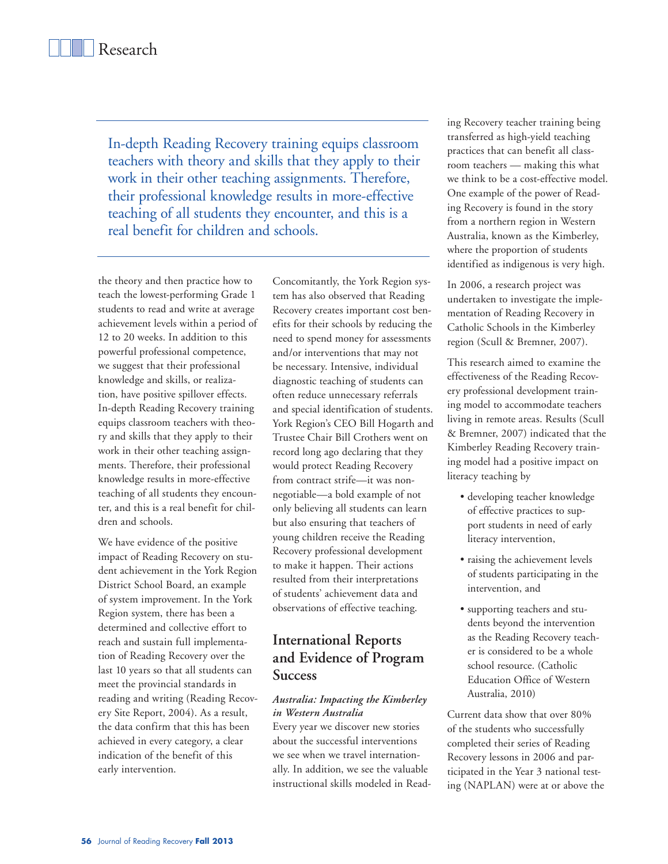In-depth Reading Recovery training equips classroom teachers with theory and skills that they apply to their work in their other teaching assignments. Therefore, their professional knowledge results in more-effective teaching of all students they encounter, and this is a real benefit for children and schools.

the theory and then practice how to teach the lowest-performing Grade 1 students to read and write at average achievement levels within a period of 12 to 20 weeks. In addition to this powerful professional competence, we suggest that their professional knowledge and skills, or realization, have positive spillover effects. In-depth Reading Recovery training equips classroom teachers with theory and skills that they apply to their work in their other teaching assignments. Therefore, their professional knowledge results in more-effective teaching of all students they encounter, and this is a real benefit for children and schools.

We have evidence of the positive impact of Reading Recovery on student achievement in the York Region District School Board, an example of system improvement. In the York Region system, there has been a determined and collective effort to reach and sustain full implementation of Reading Recovery over the last 10 years so that all students can meet the provincial standards in reading and writing (Reading Recovery Site Report, 2004). As a result, the data confirm that this has been achieved in every category, a clear indication of the benefit of this early intervention.

Concomitantly, the York Region system has also observed that Reading Recovery creates important cost benefits for their schools by reducing the need to spend money for assessments and/or interventions that may not be necessary. Intensive, individual diagnostic teaching of students can often reduce unnecessary referrals and special identification of students. York Region's CEO Bill Hogarth and Trustee Chair Bill Crothers went on record long ago declaring that they would protect Reading Recovery from contract strife—it was nonnegotiable—a bold example of not only believing all students can learn but also ensuring that teachers of young children receive the Reading Recovery professional development to make it happen. Their actions resulted from their interpretations of students' achievement data and observations of effective teaching.

## **International Reports and Evidence of Program Success**

#### *Australia: Impacting the Kimberley in Western Australia*

Every year we discover new stories about the successful interventions we see when we travel internationally. In addition, we see the valuable instructional skills modeled in Reading Recovery teacher training being transferred as high-yield teaching practices that can benefit all classroom teachers — making this what we think to be a cost-effective model. One example of the power of Reading Recovery is found in the story from a northern region in Western Australia, known as the Kimberley, where the proportion of students identified as indigenous is very high.

In 2006, a research project was undertaken to investigate the implementation of Reading Recovery in Catholic Schools in the Kimberley region (Scull & Bremner, 2007).

This research aimed to examine the effectiveness of the Reading Recovery professional development training model to accommodate teachers living in remote areas. Results (Scull & Bremner, 2007) indicated that the Kimberley Reading Recovery training model had a positive impact on literacy teaching by

- developing teacher knowledge of effective practices to support students in need of early literacy intervention,
- raising the achievement levels of students participating in the intervention, and
- supporting teachers and students beyond the intervention as the Reading Recovery teacher is considered to be a whole school resource. (Catholic Education Office of Western Australia, 2010)

Current data show that over 80% of the students who successfully completed their series of Reading Recovery lessons in 2006 and participated in the Year 3 national testing (NAPLAN) were at or above the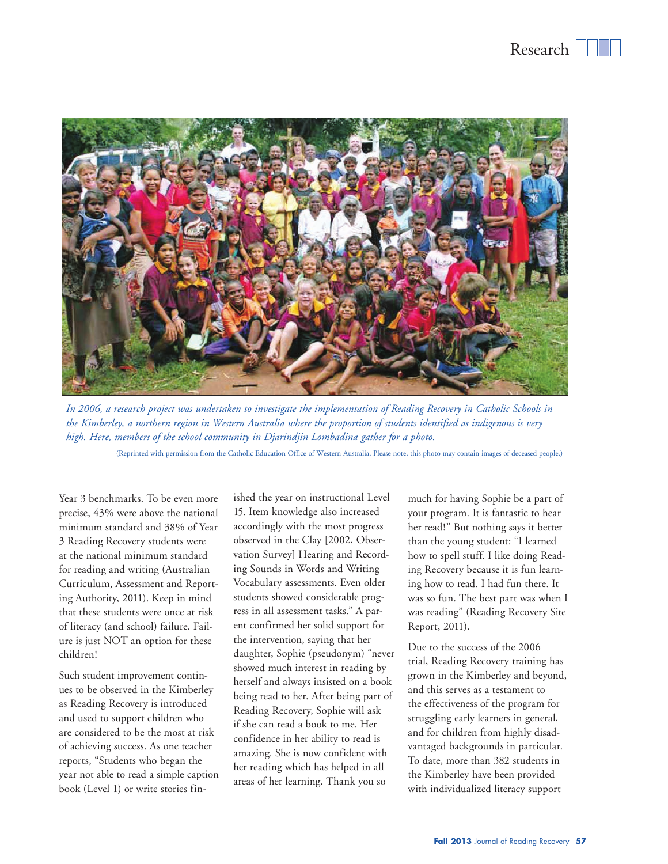

*In 2006, a research project was undertaken to investigate the implementation of Reading Recovery in Catholic Schools in the Kimberley, a northern region in Western Australia where the proportion of students identified as indigenous is very high. Here, members of the school community in Djarindjin Lombadina gather for a photo.* 

(Reprinted with permission from the Catholic Education Office of Western Australia. Please note, this photo may contain images of deceased people.)

Year 3 benchmarks. To be even more precise, 43% were above the national minimum standard and 38% of Year 3 Reading Recovery students were at the national minimum standard for reading and writing (Australian Curriculum, Assessment and Reporting Authority, 2011). Keep in mind that these students were once at risk of literacy (and school) failure. Failure is just NOT an option for these children!

Such student improvement continues to be observed in the Kimberley as Reading Recovery is introduced and used to support children who are considered to be the most at risk of achieving success. As one teacher reports, "Students who began the year not able to read a simple caption book (Level 1) or write stories finished the year on instructional Level 15. Item knowledge also increased accordingly with the most progress observed in the Clay [2002, Observation Survey] Hearing and Recording Sounds in Words and Writing Vocabulary assessments. Even older students showed considerable progress in all assessment tasks." A parent confirmed her solid support for the intervention, saying that her daughter, Sophie (pseudonym) "never showed much interest in reading by herself and always insisted on a book being read to her. After being part of Reading Recovery, Sophie will ask if she can read a book to me. Her confidence in her ability to read is amazing. She is now confident with her reading which has helped in all areas of her learning. Thank you so

much for having Sophie be a part of your program. It is fantastic to hear her read!" But nothing says it better than the young student: "I learned how to spell stuff. I like doing Reading Recovery because it is fun learning how to read. I had fun there. It was so fun. The best part was when I was reading" (Reading Recovery Site Report, 2011).

Due to the success of the 2006 trial, Reading Recovery training has grown in the Kimberley and beyond, and this serves as a testament to the effectiveness of the program for struggling early learners in general, and for children from highly disadvantaged backgrounds in particular. To date, more than 382 students in the Kimberley have been provided with individualized literacy support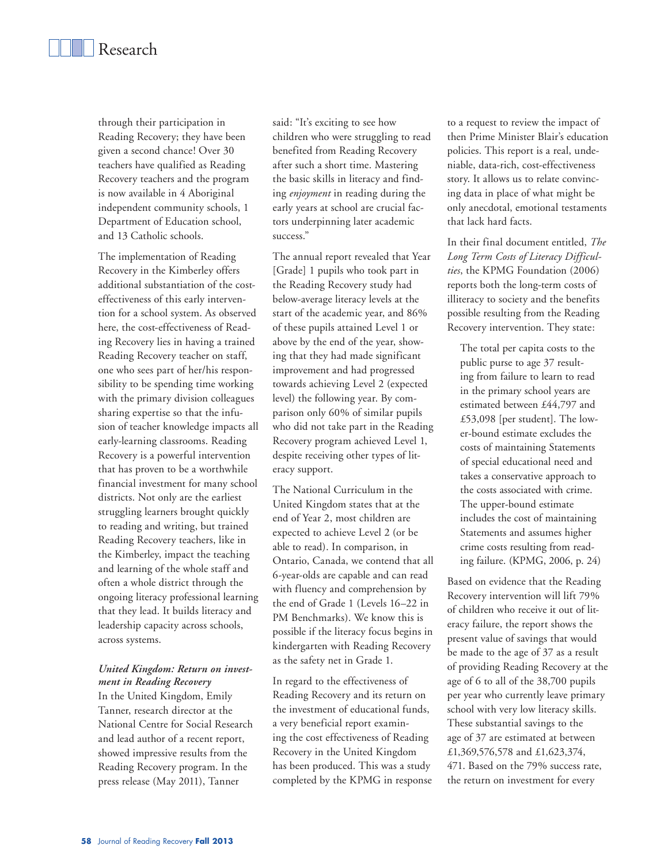through their participation in Reading Recovery; they have been given a second chance! Over 30 teachers have qualified as Reading Recovery teachers and the program is now available in 4 Aboriginal independent community schools, 1 Department of Education school, and 13 Catholic schools.

The implementation of Reading Recovery in the Kimberley offers additional substantiation of the costeffectiveness of this early intervention for a school system. As observed here, the cost-effectiveness of Reading Recovery lies in having a trained Reading Recovery teacher on staff, one who sees part of her/his responsibility to be spending time working with the primary division colleagues sharing expertise so that the infusion of teacher knowledge impacts all early-learning classrooms. Reading Recovery is a powerful intervention that has proven to be a worthwhile financial investment for many school districts. Not only are the earliest struggling learners brought quickly to reading and writing, but trained Reading Recovery teachers, like in the Kimberley, impact the teaching and learning of the whole staff and often a whole district through the ongoing literacy professional learning that they lead. It builds literacy and leadership capacity across schools, across systems.

#### *United Kingdom: Return on investment in Reading Recovery*

In the United Kingdom, Emily Tanner, research director at the National Centre for Social Research and lead author of a recent report, showed impressive results from the Reading Recovery program. In the press release (May 2011), Tanner

said: "It's exciting to see how children who were struggling to read benefited from Reading Recovery after such a short time. Mastering the basic skills in literacy and finding *enjoyment* in reading during the early years at school are crucial factors underpinning later academic success."

The annual report revealed that Year [Grade] 1 pupils who took part in the Reading Recovery study had below-average literacy levels at the start of the academic year, and 86% of these pupils attained Level 1 or above by the end of the year, showing that they had made significant improvement and had progressed towards achieving Level 2 (expected level) the following year. By comparison only 60% of similar pupils who did not take part in the Reading Recovery program achieved Level 1, despite receiving other types of literacy support.

The National Curriculum in the United Kingdom states that at the end of Year 2, most children are expected to achieve Level 2 (or be able to read). In comparison, in Ontario, Canada, we contend that all 6-year-olds are capable and can read with fluency and comprehension by the end of Grade 1 (Levels 16–22 in PM Benchmarks). We know this is possible if the literacy focus begins in kindergarten with Reading Recovery as the safety net in Grade 1.

In regard to the effectiveness of Reading Recovery and its return on the investment of educational funds, a very beneficial report examining the cost effectiveness of Reading Recovery in the United Kingdom has been produced. This was a study completed by the KPMG in response to a request to review the impact of then Prime Minister Blair's education policies. This report is a real, undeniable, data-rich, cost-effectiveness story. It allows us to relate convincing data in place of what might be only anecdotal, emotional testaments that lack hard facts.

In their final document entitled, *The Long Term Costs of Literacy Difficulties*, the KPMG Foundation (2006) reports both the long-term costs of illiteracy to society and the benefits possible resulting from the Reading Recovery intervention. They state:

The total per capita costs to the public purse to age 37 resulting from failure to learn to read in the primary school years are estimated between £44,797 and £53,098 [per student]. The lower-bound estimate excludes the costs of maintaining Statements of special educational need and takes a conservative approach to the costs associated with crime. The upper-bound estimate includes the cost of maintaining Statements and assumes higher crime costs resulting from reading failure. (KPMG, 2006, p. 24)

Based on evidence that the Reading Recovery intervention will lift 79% of children who receive it out of literacy failure, the report shows the present value of savings that would be made to the age of 37 as a result of providing Reading Recovery at the age of 6 to all of the 38,700 pupils per year who currently leave primary school with very low literacy skills. These substantial savings to the age of 37 are estimated at between £1,369,576,578 and £1,623,374, 471. Based on the 79% success rate, the return on investment for every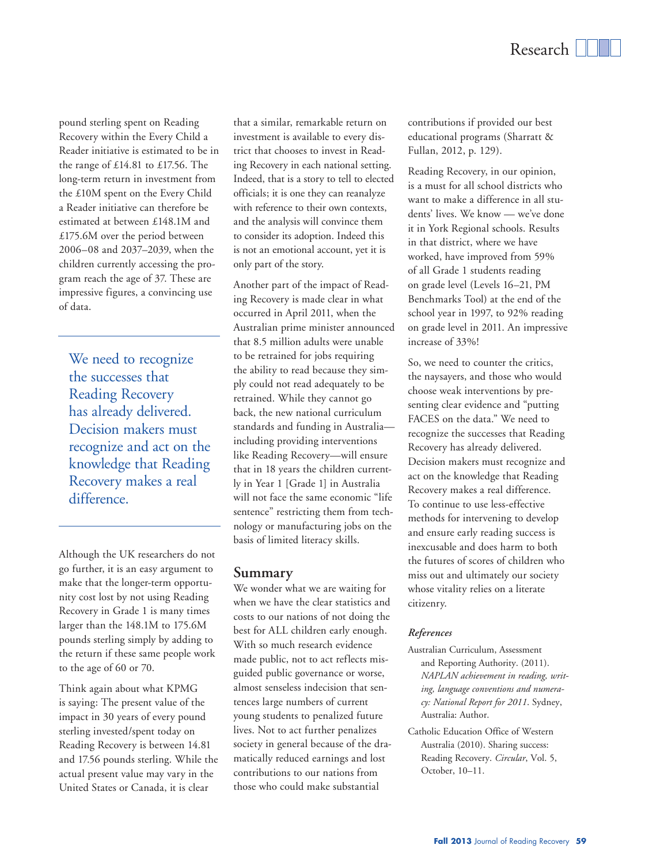pound sterling spent on Reading Recovery within the Every Child a Reader initiative is estimated to be in the range of £14.81 to £17.56. The long-term return in investment from the £10M spent on the Every Child a Reader initiative can therefore be estimated at between £148.1M and £175.6M over the period between 2006–08 and 2037–2039, when the children currently accessing the program reach the age of 37. These are impressive figures, a convincing use of data.

We need to recognize the successes that Reading Recovery has already delivered. Decision makers must recognize and act on the knowledge that Reading Recovery makes a real difference.

Although the UK researchers do not go further, it is an easy argument to make that the longer-term opportunity cost lost by not using Reading Recovery in Grade 1 is many times larger than the 148.1M to 175.6M pounds sterling simply by adding to the return if these same people work to the age of 60 or 70.

Think again about what KPMG is saying: The present value of the impact in 30 years of every pound sterling invested/spent today on Reading Recovery is between 14.81 and 17.56 pounds sterling. While the actual present value may vary in the United States or Canada, it is clear

that a similar, remarkable return on investment is available to every district that chooses to invest in Reading Recovery in each national setting. Indeed, that is a story to tell to elected officials; it is one they can reanalyze with reference to their own contexts, and the analysis will convince them to consider its adoption. Indeed this is not an emotional account, yet it is only part of the story.

Another part of the impact of Reading Recovery is made clear in what occurred in April 2011, when the Australian prime minister announced that 8.5 million adults were unable to be retrained for jobs requiring the ability to read because they simply could not read adequately to be retrained. While they cannot go back, the new national curriculum standards and funding in Australia including providing interventions like Reading Recovery—will ensure that in 18 years the children currently in Year 1 [Grade 1] in Australia will not face the same economic "life sentence" restricting them from technology or manufacturing jobs on the basis of limited literacy skills.

#### **Summary**

We wonder what we are waiting for when we have the clear statistics and costs to our nations of not doing the best for ALL children early enough. With so much research evidence made public, not to act reflects misguided public governance or worse, almost senseless indecision that sentences large numbers of current young students to penalized future lives. Not to act further penalizes society in general because of the dramatically reduced earnings and lost contributions to our nations from those who could make substantial

contributions if provided our best educational programs (Sharratt & Fullan, 2012, p. 129).

Reading Recovery, in our opinion, is a must for all school districts who want to make a difference in all students' lives. We know — we've done it in York Regional schools. Results in that district, where we have worked, have improved from 59% of all Grade 1 students reading on grade level (Levels 16–21, PM Benchmarks Tool) at the end of the school year in 1997, to 92% reading on grade level in 2011. An impressive increase of 33%!

So, we need to counter the critics, the naysayers, and those who would choose weak interventions by presenting clear evidence and "putting FACES on the data." We need to recognize the successes that Reading Recovery has already delivered. Decision makers must recognize and act on the knowledge that Reading Recovery makes a real difference. To continue to use less-effective methods for intervening to develop and ensure early reading success is inexcusable and does harm to both the futures of scores of children who miss out and ultimately our society whose vitality relies on a literate citizenry.

#### *References*

- Australian Curriculum, Assessment and Reporting Authority. (2011). *NAPLAN achievement in reading, writing, language conventions and numeracy: National Report for 2011*. Sydney, Australia: Author.
- Catholic Education Office of Western Australia (2010). Sharing success: Reading Recovery. *Circular*, Vol. 5, October, 10–11.